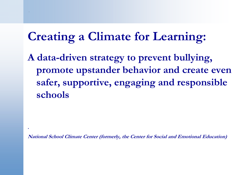# **Creating a Climate for Learning:**

.

**.**

**A data-driven strategy to prevent bullying, promote upstander behavior and create even safer, supportive, engaging and responsible schools**

**National School Climate Center (formerly, the Center for Social and Emotional Education)**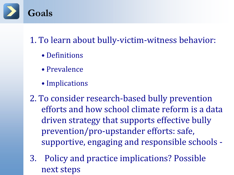

1. To learn about bully-victim-witness behavior:

- Definitions
- Prevalence
- Implications

2. To consider research-based bully prevention efforts and how school climate reform is a data driven strategy that supports effective bully prevention/pro-upstander efforts: safe, supportive, engaging and responsible schools -

3. Policy and practice implications? Possible next steps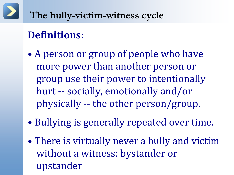# **The bully-victim-witness cycle**

## **Definitions**:

- A person or group of people who have more power than another person or group use their power to intentionally hurt -- socially, emotionally and/or physically -- the other person/group.
- Bullying is generally repeated over time.
- There is virtually never a bully and victim without a witness: bystander or upstander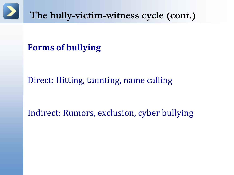

#### **Forms of bullying**

#### Direct: Hitting, taunting, name calling

#### Indirect: Rumors, exclusion, cyber bullying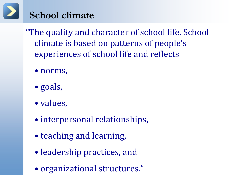### **School climate**

"The quality and character of school life. School climate is based on patterns of people's experiences of school life and reflects

- norms,
- goals,
- values,
- interpersonal relationships,
- teaching and learning,
- leadership practices, and
- organizational structures."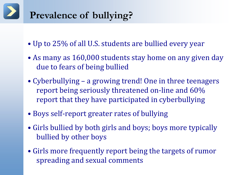# **Prevalence of bullying?**

- Up to 25% of all U.S. students are bullied every year
- As many as 160,000 students stay home on any given day due to fears of being bullied
- Cyberbullying a growing trend! One in three teenagers report being seriously threatened on-line and 60% report that they have participated in cyberbullying
- Boys self-report greater rates of bullying
- Girls bullied by both girls and boys; boys more typically bullied by other boys
- Girls more frequently report being the targets of rumor spreading and sexual comments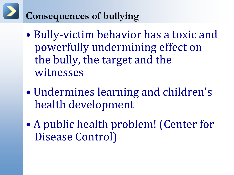# **Consequences of bullying**

- Bully-victim behavior has a toxic and powerfully undermining effect on the bully, the target and the witnesses
- Undermines learning and children's health development
- A public health problem! (Center for Disease Control)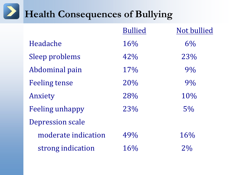# **Health Consequences of Bullying**

|                        | <b>Bullied</b> | Not bullied |
|------------------------|----------------|-------------|
| Headache               | 16%            | 6%          |
| Sleep problems         | 42%            | 23%         |
| Abdominal pain         | 17%            | 9%          |
| <b>Feeling tense</b>   | 20%            | 9%          |
| Anxiety                | 28%            | 10%         |
| <b>Feeling unhappy</b> | 23%            | 5%          |
| Depression scale       |                |             |
| moderate indication    | 49%            | 16%         |
| strong indication      | 16%            | 2%          |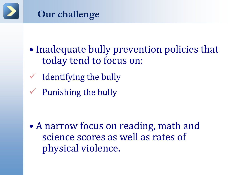

- Inadequate bully prevention policies that today tend to focus on:
- $\checkmark$  Identifying the bully
- $\checkmark$  Punishing the bully

• A narrow focus on reading, math and science scores as well as rates of physical violence.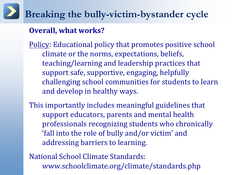#### **Overall, what works?**

Policy: Educational policy that promotes positive school climate or the norms, expectations, beliefs, teaching/learning and leadership practices that support safe, supportive, engaging, helpfully challenging school communities for students to learn and develop in healthy ways.

This importantly includes meaningful guidelines that support educators, parents and mental health professionals recognizing students who chronically 'fall into the role of bully and/or victim' and addressing barriers to learning.

National School Climate Standards: www.schoolclimate.org/climate/standards.php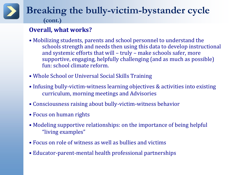#### **Overall, what works?**

- Mobilizing students, parents and school personnel to understand the schools strength and needs then using this data to develop instructional and systemic efforts that will – truly – make schools safer, more supportive, engaging, helpfully challenging (and as much as possible) fun: school climate reform.
- Whole School or Universal Social Skills Training
- Infusing bully-victim-witness learning objectives & activities into existing curriculum, morning meetings and Advisories
- Consciousness raising about bully-victim-witness behavior
- Focus on human rights
- Modeling supportive relationships: on the importance of being helpful "living examples"
- Focus on role of witness as well as bullies and victims
- Educator-parent-mental health professional partnerships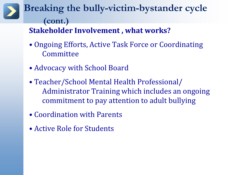#### **Breaking the bully-victim-bystander cycle (cont.) Stakeholder Involvement , what works?**

- Ongoing Efforts, Active Task Force or Coordinating Committee
- Advocacy with School Board
- Teacher/School Mental Health Professional/ Administrator Training which includes an ongoing commitment to pay attention to adult bullying
- Coordination with Parents
- Active Role for Students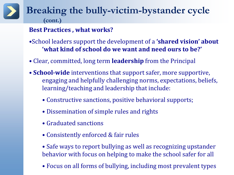#### **Best Practices , what works?**

- •School leaders support the development of a **'shared vision' about 'what kind of school do we want and need ours to be?'**
- Clear, committed, long term **leadership** from the Principal
- **School-wide** interventions that support safer, more supportive, engaging and helpfully challenging norms, expectations, beliefs, learning/teaching and leadership that include:
	- Constructive sanctions, positive behavioral supports;
	- Dissemination of simple rules and rights
	- Graduated sanctions
	- Consistently enforced & fair rules
	- Safe ways to report bullying as well as recognizing upstander behavior with focus on helping to make the school safer for all
	- Focus on all forms of bullying, including most prevalent types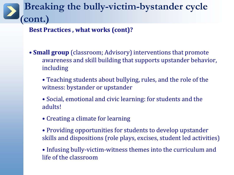**Best Practices , what works (cont)?**

- **Small group** (classroom; Advisory) interventions that promote awareness and skill building that supports upstander behavior, including
	- Teaching students about bullying, rules, and the role of the witness: bystander or upstander
	- Social, emotional and civic learning: for students and the adults!
	- Creating a climate for learning
	- Providing opportunities for students to develop upstander skills and dispositions (role plays, excises, student led activities)
	- Infusing bully-victim-witness themes into the curriculum and life of the classroom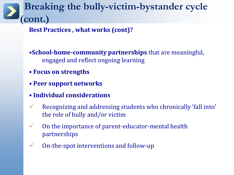**Best Practices , what works (cont)?**

•**School-home-community partnerships** that are meaningful, engaged and reflect ongoing learning

- **Focus on strengths**
- **Peer support networks**
- **Individual considerations**
- Recognizing and addressing students who chronically 'fall into' the role of bully and/or victim
- $\checkmark$  On the importance of parent-educator-mental health partnerships
- $\checkmark$  On-the-spot interventions and follow-up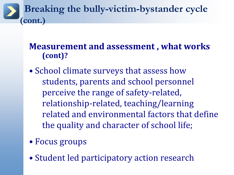#### **Measurement and assessment , what works (cont)?**

- School climate surveys that assess how students, parents and school personnel perceive the range of safety-related, relationship-related, teaching/learning related and environmental factors that define the quality and character of school life;
- Focus groups
- Student led participatory action research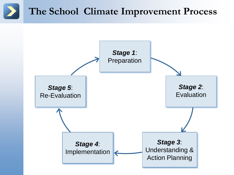# **The School Climate Improvement Process**